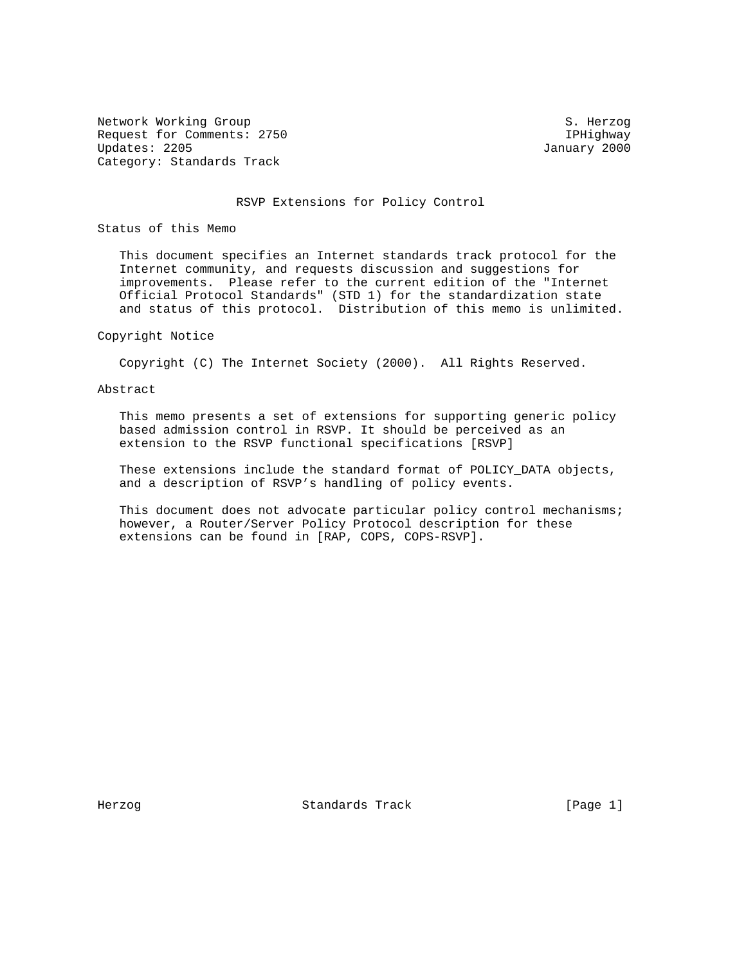Network Working Group S. Herzog S. Herzog Request for Comments: 2750 IPHighway<br>Updates: 2205 January 2000 Category: Standards Track

January 2000

## RSVP Extensions for Policy Control

Status of this Memo

 This document specifies an Internet standards track protocol for the Internet community, and requests discussion and suggestions for improvements. Please refer to the current edition of the "Internet Official Protocol Standards" (STD 1) for the standardization state and status of this protocol. Distribution of this memo is unlimited.

# Copyright Notice

Copyright (C) The Internet Society (2000). All Rights Reserved.

# Abstract

 This memo presents a set of extensions for supporting generic policy based admission control in RSVP. It should be perceived as an extension to the RSVP functional specifications [RSVP]

 These extensions include the standard format of POLICY\_DATA objects, and a description of RSVP's handling of policy events.

 This document does not advocate particular policy control mechanisms; however, a Router/Server Policy Protocol description for these extensions can be found in [RAP, COPS, COPS-RSVP].

Herzog Standards Track [Page 1]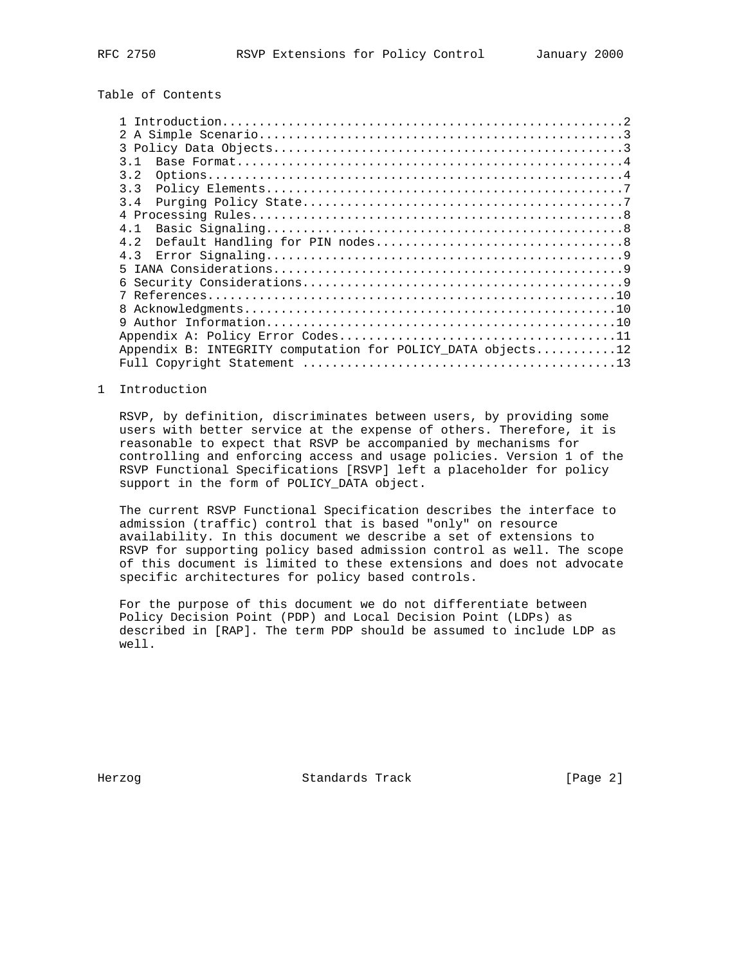Table of Contents

| 3 1<br>3.2<br>33<br>3.4<br>4 1<br>4 2<br>43<br>Б.<br>6      |  |
|-------------------------------------------------------------|--|
|                                                             |  |
|                                                             |  |
|                                                             |  |
|                                                             |  |
|                                                             |  |
|                                                             |  |
|                                                             |  |
|                                                             |  |
|                                                             |  |
|                                                             |  |
|                                                             |  |
|                                                             |  |
|                                                             |  |
|                                                             |  |
| Q                                                           |  |
|                                                             |  |
| Appendix B: INTEGRITY computation for POLICY DATA objects12 |  |
|                                                             |  |

1 Introduction

 RSVP, by definition, discriminates between users, by providing some users with better service at the expense of others. Therefore, it is reasonable to expect that RSVP be accompanied by mechanisms for controlling and enforcing access and usage policies. Version 1 of the RSVP Functional Specifications [RSVP] left a placeholder for policy support in the form of POLICY\_DATA object.

 The current RSVP Functional Specification describes the interface to admission (traffic) control that is based "only" on resource availability. In this document we describe a set of extensions to RSVP for supporting policy based admission control as well. The scope of this document is limited to these extensions and does not advocate specific architectures for policy based controls.

 For the purpose of this document we do not differentiate between Policy Decision Point (PDP) and Local Decision Point (LDPs) as described in [RAP]. The term PDP should be assumed to include LDP as well.

Herzog Standards Track [Page 2]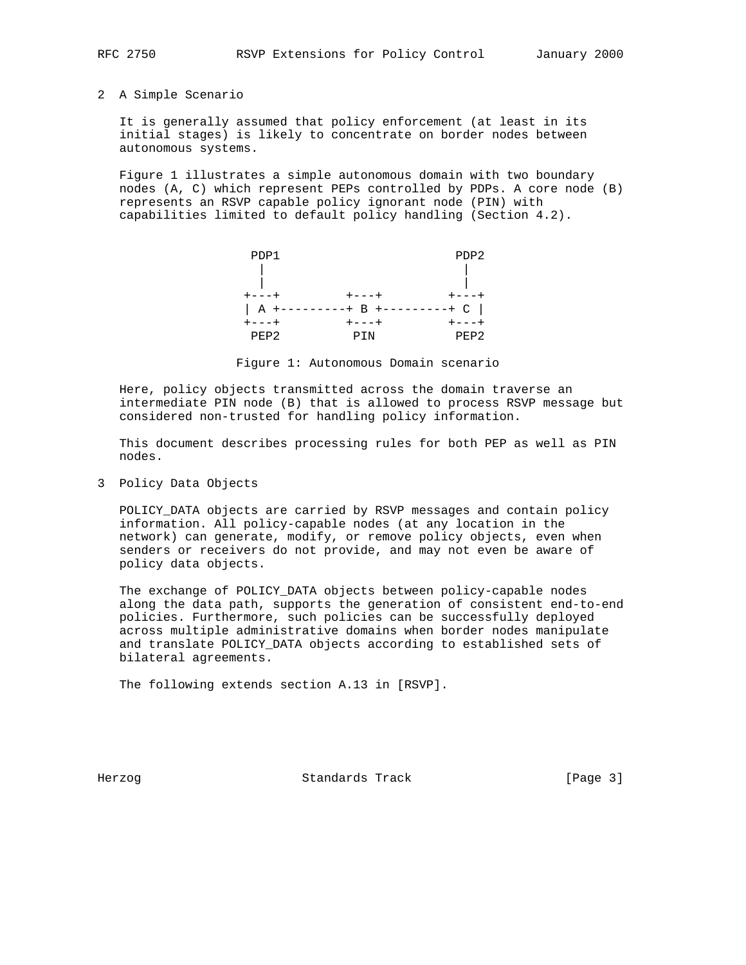## 2 A Simple Scenario

 It is generally assumed that policy enforcement (at least in its initial stages) is likely to concentrate on border nodes between autonomous systems.

 Figure 1 illustrates a simple autonomous domain with two boundary nodes (A, C) which represent PEPs controlled by PDPs. A core node (B) represents an RSVP capable policy ignorant node (PIN) with capabilities limited to default policy handling (Section 4.2).



Figure 1: Autonomous Domain scenario

 Here, policy objects transmitted across the domain traverse an intermediate PIN node (B) that is allowed to process RSVP message but considered non-trusted for handling policy information.

 This document describes processing rules for both PEP as well as PIN nodes.

3 Policy Data Objects

 POLICY\_DATA objects are carried by RSVP messages and contain policy information. All policy-capable nodes (at any location in the network) can generate, modify, or remove policy objects, even when senders or receivers do not provide, and may not even be aware of policy data objects.

 The exchange of POLICY\_DATA objects between policy-capable nodes along the data path, supports the generation of consistent end-to-end policies. Furthermore, such policies can be successfully deployed across multiple administrative domains when border nodes manipulate and translate POLICY\_DATA objects according to established sets of bilateral agreements.

The following extends section A.13 in [RSVP].

Herzog Standards Track [Page 3]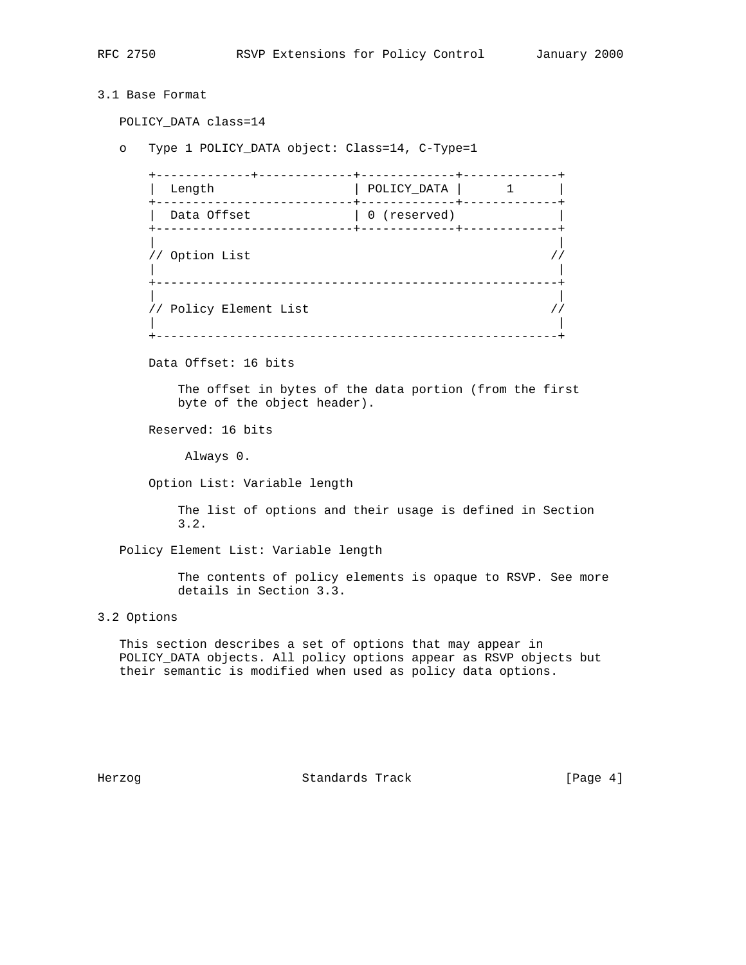```
3.1 Base Format
   POLICY_DATA class=14
   o Type 1 POLICY_DATA object: Class=14, C-Type=1
      +-------------+-------------+-------------+-------------+
     | Length | POLICY_DATA | 1 |
      +---------------------------+-------------+-------------+
     | Data Offset | 0 (reserved)
      +---------------------------+-------------+-------------+
 | |
      // Option List //
 | |
 +-------------------------------------------------------+
 | |
     \frac{1}{2} Policy Element List \frac{1}{2} | |
      +-------------------------------------------------------+
      Data Offset: 16 bits
         The offset in bytes of the data portion (from the first
         byte of the object header).
      Reserved: 16 bits
          Always 0.
      Option List: Variable length
         The list of options and their usage is defined in Section
         3.2.
   Policy Element List: Variable length
         The contents of policy elements is opaque to RSVP. See more
         details in Section 3.3.
3.2 Options
   This section describes a set of options that may appear in
   POLICY_DATA objects. All policy options appear as RSVP objects but
   their semantic is modified when used as policy data options.
```
Herzog Standards Track [Page 4]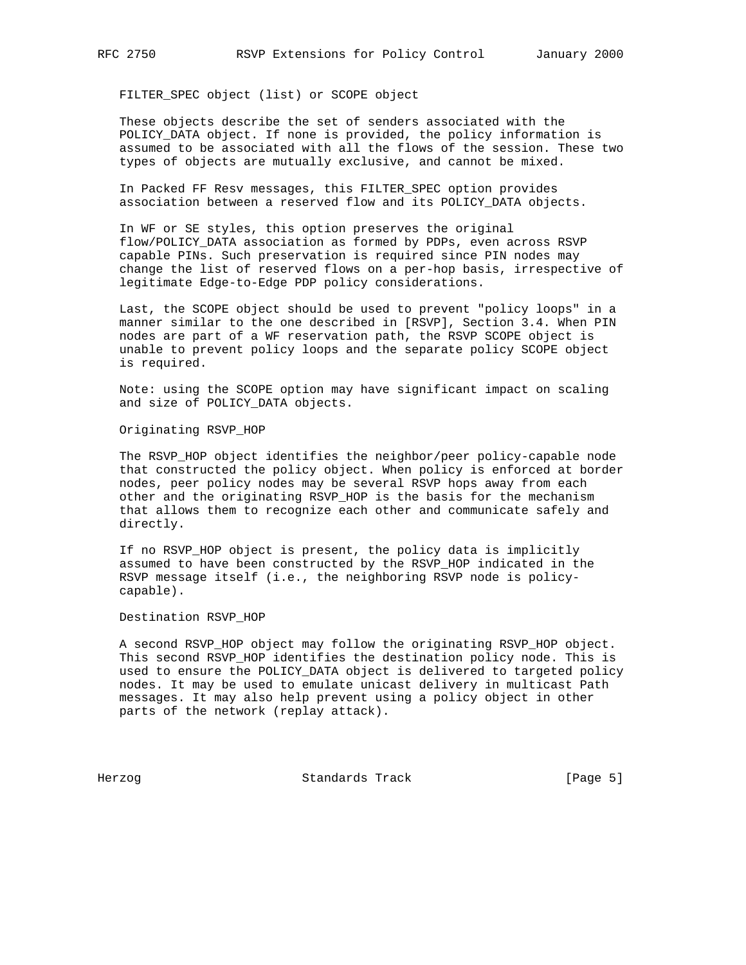FILTER\_SPEC object (list) or SCOPE object

 These objects describe the set of senders associated with the POLICY\_DATA object. If none is provided, the policy information is assumed to be associated with all the flows of the session. These two types of objects are mutually exclusive, and cannot be mixed.

 In Packed FF Resv messages, this FILTER\_SPEC option provides association between a reserved flow and its POLICY\_DATA objects.

 In WF or SE styles, this option preserves the original flow/POLICY\_DATA association as formed by PDPs, even across RSVP capable PINs. Such preservation is required since PIN nodes may change the list of reserved flows on a per-hop basis, irrespective of legitimate Edge-to-Edge PDP policy considerations.

 Last, the SCOPE object should be used to prevent "policy loops" in a manner similar to the one described in [RSVP], Section 3.4. When PIN nodes are part of a WF reservation path, the RSVP SCOPE object is unable to prevent policy loops and the separate policy SCOPE object is required.

 Note: using the SCOPE option may have significant impact on scaling and size of POLICY\_DATA objects.

Originating RSVP\_HOP

The RSVP HOP object identifies the neighbor/peer policy-capable node that constructed the policy object. When policy is enforced at border nodes, peer policy nodes may be several RSVP hops away from each other and the originating RSVP\_HOP is the basis for the mechanism that allows them to recognize each other and communicate safely and directly.

 If no RSVP\_HOP object is present, the policy data is implicitly assumed to have been constructed by the RSVP\_HOP indicated in the RSVP message itself (i.e., the neighboring RSVP node is policy capable).

Destination RSVP\_HOP

 A second RSVP\_HOP object may follow the originating RSVP\_HOP object. This second RSVP\_HOP identifies the destination policy node. This is used to ensure the POLICY\_DATA object is delivered to targeted policy nodes. It may be used to emulate unicast delivery in multicast Path messages. It may also help prevent using a policy object in other parts of the network (replay attack).

Herzog **Standards Track** [Page 5]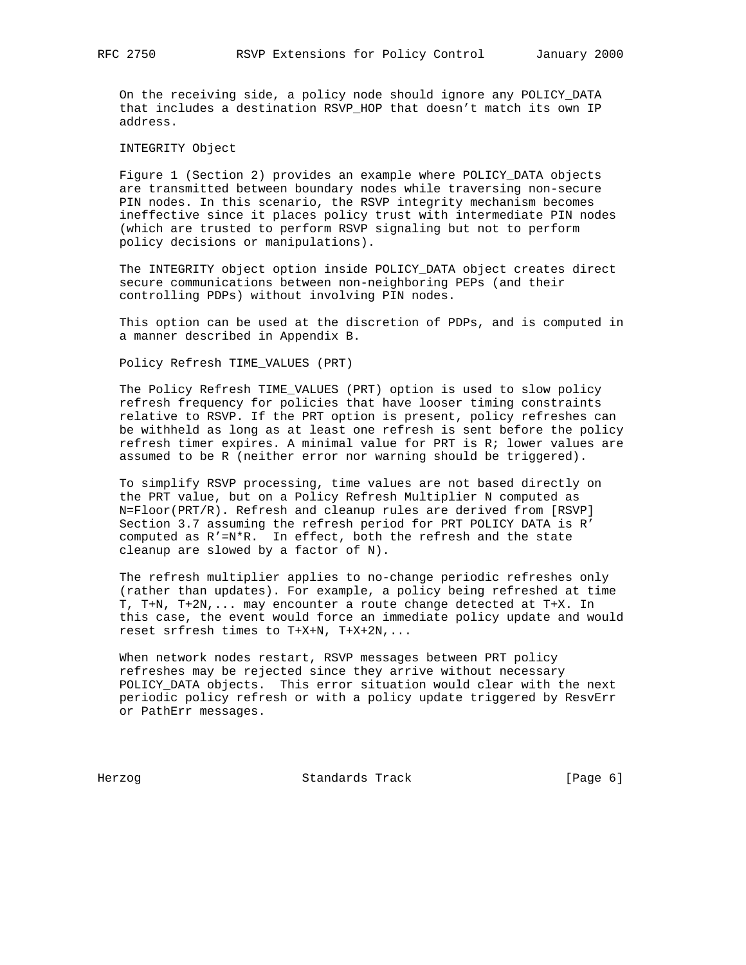On the receiving side, a policy node should ignore any POLICY\_DATA that includes a destination RSVP\_HOP that doesn't match its own IP address.

INTEGRITY Object

 Figure 1 (Section 2) provides an example where POLICY\_DATA objects are transmitted between boundary nodes while traversing non-secure PIN nodes. In this scenario, the RSVP integrity mechanism becomes ineffective since it places policy trust with intermediate PIN nodes (which are trusted to perform RSVP signaling but not to perform policy decisions or manipulations).

 The INTEGRITY object option inside POLICY\_DATA object creates direct secure communications between non-neighboring PEPs (and their controlling PDPs) without involving PIN nodes.

 This option can be used at the discretion of PDPs, and is computed in a manner described in Appendix B.

Policy Refresh TIME\_VALUES (PRT)

 The Policy Refresh TIME\_VALUES (PRT) option is used to slow policy refresh frequency for policies that have looser timing constraints relative to RSVP. If the PRT option is present, policy refreshes can be withheld as long as at least one refresh is sent before the policy refresh timer expires. A minimal value for PRT is R; lower values are assumed to be R (neither error nor warning should be triggered).

 To simplify RSVP processing, time values are not based directly on the PRT value, but on a Policy Refresh Multiplier N computed as N=Floor(PRT/R). Refresh and cleanup rules are derived from [RSVP] Section 3.7 assuming the refresh period for PRT POLICY DATA is R' computed as R'=N\*R. In effect, both the refresh and the state cleanup are slowed by a factor of N).

 The refresh multiplier applies to no-change periodic refreshes only (rather than updates). For example, a policy being refreshed at time T, T+N, T+2N,... may encounter a route change detected at T+X. In this case, the event would force an immediate policy update and would reset srfresh times to T+X+N, T+X+2N,...

 When network nodes restart, RSVP messages between PRT policy refreshes may be rejected since they arrive without necessary POLICY\_DATA objects. This error situation would clear with the next periodic policy refresh or with a policy update triggered by ResvErr or PathErr messages.

Herzog Standards Track [Page 6]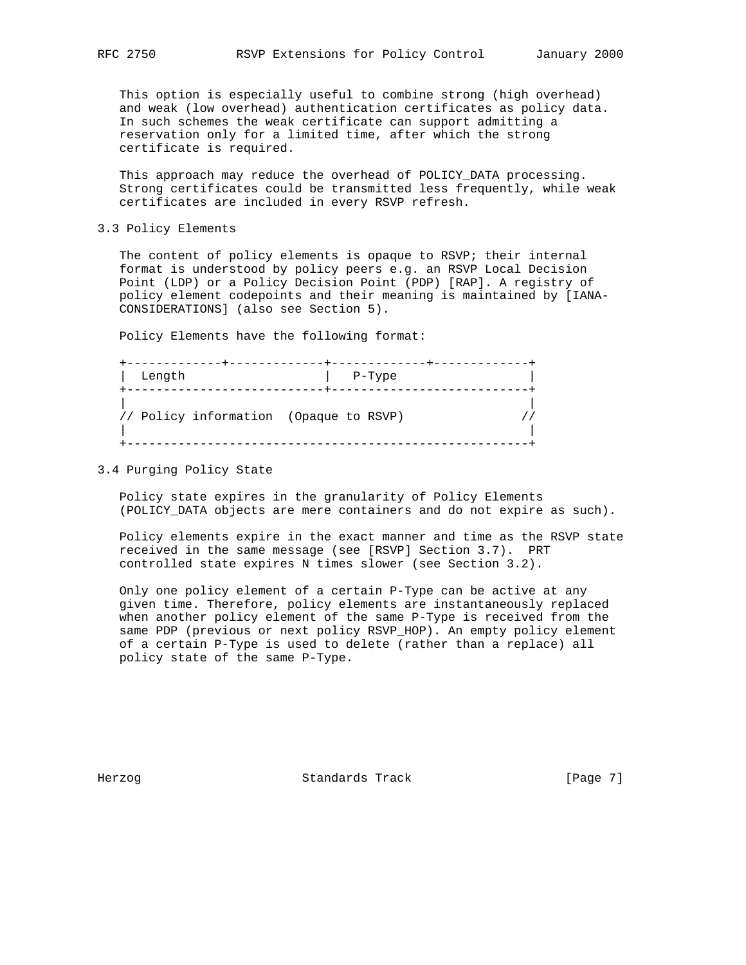This option is especially useful to combine strong (high overhead) and weak (low overhead) authentication certificates as policy data. In such schemes the weak certificate can support admitting a reservation only for a limited time, after which the strong certificate is required.

 This approach may reduce the overhead of POLICY\_DATA processing. Strong certificates could be transmitted less frequently, while weak certificates are included in every RSVP refresh.

3.3 Policy Elements

 The content of policy elements is opaque to RSVP; their internal format is understood by policy peers e.g. an RSVP Local Decision Point (LDP) or a Policy Decision Point (PDP) [RAP]. A registry of policy element codepoints and their meaning is maintained by [IANA- CONSIDERATIONS] (also see Section 5).

Policy Elements have the following format:

| Length                                 | P-Type |  |
|----------------------------------------|--------|--|
| // Policy information (Opaque to RSVP) |        |  |

3.4 Purging Policy State

 Policy state expires in the granularity of Policy Elements (POLICY\_DATA objects are mere containers and do not expire as such).

 Policy elements expire in the exact manner and time as the RSVP state received in the same message (see [RSVP] Section 3.7). PRT controlled state expires N times slower (see Section 3.2).

 Only one policy element of a certain P-Type can be active at any given time. Therefore, policy elements are instantaneously replaced when another policy element of the same P-Type is received from the same PDP (previous or next policy RSVP\_HOP). An empty policy element of a certain P-Type is used to delete (rather than a replace) all policy state of the same P-Type.

Herzog Standards Track [Page 7]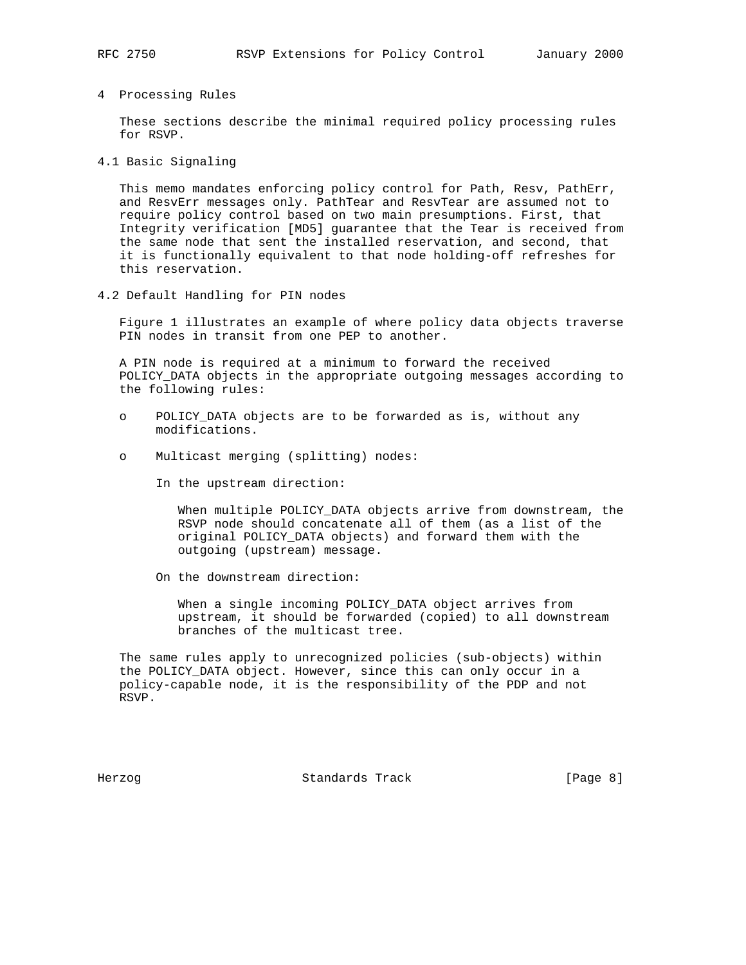4 Processing Rules

 These sections describe the minimal required policy processing rules for RSVP.

4.1 Basic Signaling

 This memo mandates enforcing policy control for Path, Resv, PathErr, and ResvErr messages only. PathTear and ResvTear are assumed not to require policy control based on two main presumptions. First, that Integrity verification [MD5] guarantee that the Tear is received from the same node that sent the installed reservation, and second, that it is functionally equivalent to that node holding-off refreshes for this reservation.

4.2 Default Handling for PIN nodes

 Figure 1 illustrates an example of where policy data objects traverse PIN nodes in transit from one PEP to another.

 A PIN node is required at a minimum to forward the received POLICY\_DATA objects in the appropriate outgoing messages according to the following rules:

- o POLICY\_DATA objects are to be forwarded as is, without any modifications.
- o Multicast merging (splitting) nodes:
	- In the upstream direction:

 When multiple POLICY\_DATA objects arrive from downstream, the RSVP node should concatenate all of them (as a list of the original POLICY\_DATA objects) and forward them with the outgoing (upstream) message.

On the downstream direction:

 When a single incoming POLICY\_DATA object arrives from upstream, it should be forwarded (copied) to all downstream branches of the multicast tree.

 The same rules apply to unrecognized policies (sub-objects) within the POLICY\_DATA object. However, since this can only occur in a policy-capable node, it is the responsibility of the PDP and not RSVP.

Herzog Standards Track [Page 8]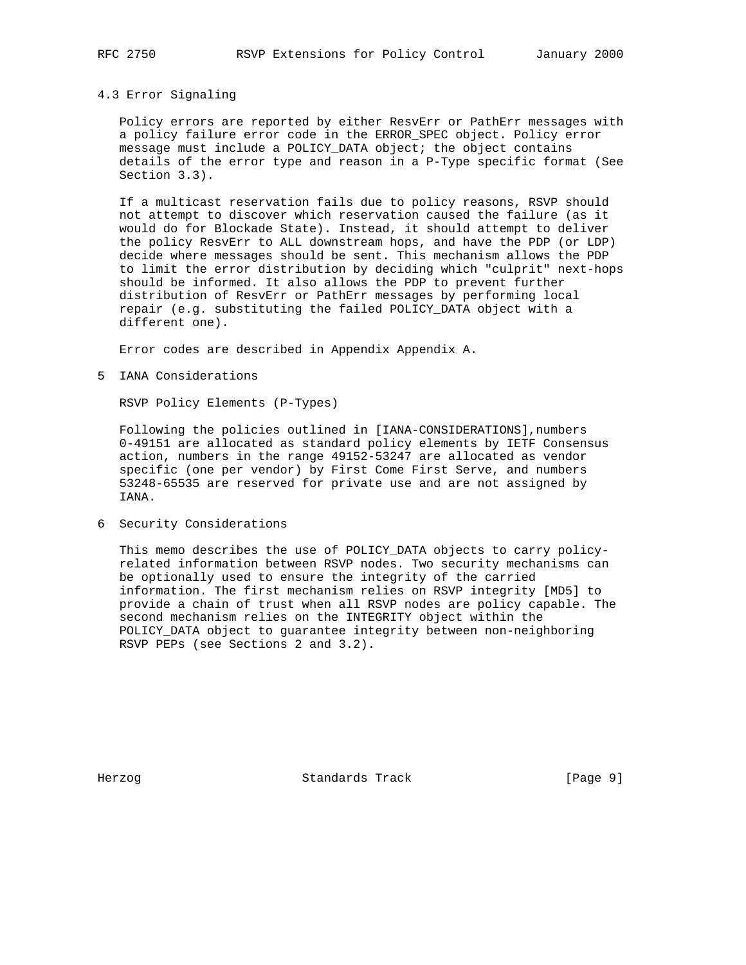### 4.3 Error Signaling

 Policy errors are reported by either ResvErr or PathErr messages with a policy failure error code in the ERROR\_SPEC object. Policy error message must include a POLICY\_DATA object; the object contains details of the error type and reason in a P-Type specific format (See Section 3.3).

 If a multicast reservation fails due to policy reasons, RSVP should not attempt to discover which reservation caused the failure (as it would do for Blockade State). Instead, it should attempt to deliver the policy ResvErr to ALL downstream hops, and have the PDP (or LDP) decide where messages should be sent. This mechanism allows the PDP to limit the error distribution by deciding which "culprit" next-hops should be informed. It also allows the PDP to prevent further distribution of ResvErr or PathErr messages by performing local repair (e.g. substituting the failed POLICY\_DATA object with a different one).

Error codes are described in Appendix Appendix A.

5 IANA Considerations

RSVP Policy Elements (P-Types)

 Following the policies outlined in [IANA-CONSIDERATIONS],numbers 0-49151 are allocated as standard policy elements by IETF Consensus action, numbers in the range 49152-53247 are allocated as vendor specific (one per vendor) by First Come First Serve, and numbers 53248-65535 are reserved for private use and are not assigned by IANA.

6 Security Considerations

 This memo describes the use of POLICY\_DATA objects to carry policy related information between RSVP nodes. Two security mechanisms can be optionally used to ensure the integrity of the carried information. The first mechanism relies on RSVP integrity [MD5] to provide a chain of trust when all RSVP nodes are policy capable. The second mechanism relies on the INTEGRITY object within the POLICY\_DATA object to guarantee integrity between non-neighboring RSVP PEPs (see Sections 2 and 3.2).

Herzog **Standards Track** [Page 9]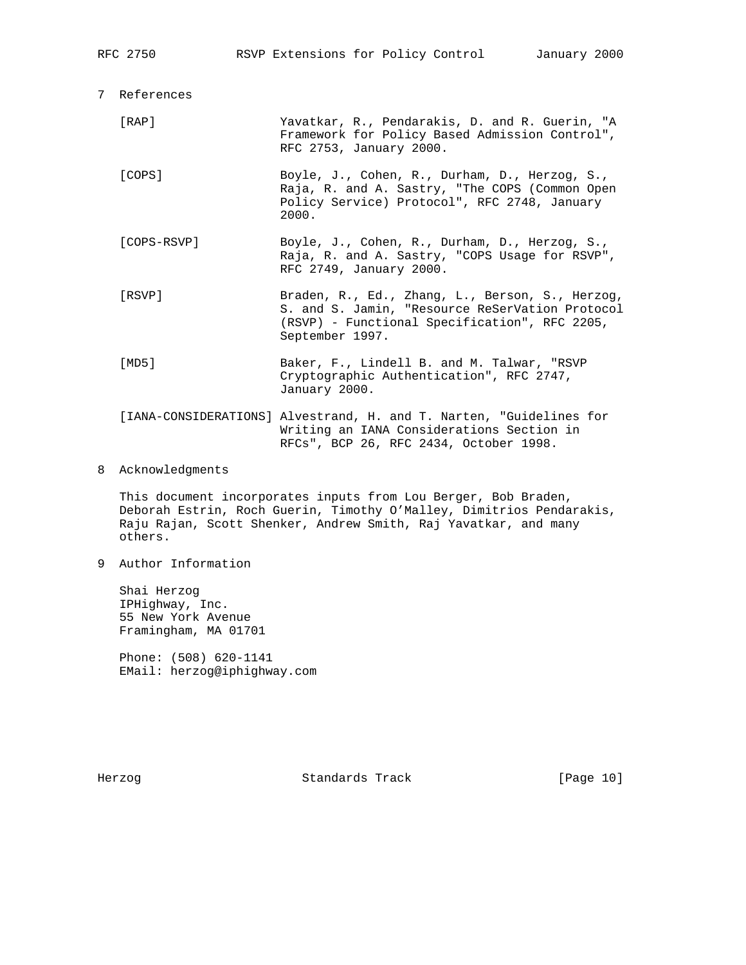|  | RFC 2750                                                            |                                                                                                                                                          |  |  | RSVP Extensions for Policy Control       | January 2000                                                                                                                                        |  |  |
|--|---------------------------------------------------------------------|----------------------------------------------------------------------------------------------------------------------------------------------------------|--|--|------------------------------------------|-----------------------------------------------------------------------------------------------------------------------------------------------------|--|--|
|  | 7 References                                                        |                                                                                                                                                          |  |  |                                          |                                                                                                                                                     |  |  |
|  | [RAP]                                                               | RFC 2753, January 2000.                                                                                                                                  |  |  |                                          | Yavatkar, R., Pendarakis, D. and R. Guerin, "A<br>Framework for Policy Based Admission Control",                                                    |  |  |
|  | [COPS]                                                              | Boyle, J., Cohen, R., Durham, D., Herzog, S.,<br>Raja, R. and A. Sastry, "The COPS (Common Open<br>Policy Service) Protocol", RFC 2748, January<br>2000. |  |  |                                          |                                                                                                                                                     |  |  |
|  | [COPS-RSVP]                                                         | RFC 2749, January 2000.                                                                                                                                  |  |  |                                          | Boyle, J., Cohen, R., Durham, D., Herzog, S.,<br>Raja, R. and A. Sastry, "COPS Usage for RSVP",                                                     |  |  |
|  | [RSVP]                                                              | September 1997.                                                                                                                                          |  |  |                                          | Braden, R., Ed., Zhang, L., Berson, S., Herzog,<br>S. and S. Jamin, "Resource ReSerVation Protocol<br>(RSVP) - Functional Specification", RFC 2205, |  |  |
|  | [MD5]                                                               | January 2000.                                                                                                                                            |  |  | Cryptographic Authentication", RFC 2747, | Baker, F., Lindell B. and M. Talwar, "RSVP                                                                                                          |  |  |
|  | [IANA-CONSIDERATIONS] Alvestrand, H. and T. Narten, "Guidelines for |                                                                                                                                                          |  |  | RFCs", BCP 26, RFC 2434, October 1998.   | Writing an IANA Considerations Section in                                                                                                           |  |  |

8 Acknowledgments

 This document incorporates inputs from Lou Berger, Bob Braden, Deborah Estrin, Roch Guerin, Timothy O'Malley, Dimitrios Pendarakis, Raju Rajan, Scott Shenker, Andrew Smith, Raj Yavatkar, and many others.

9 Author Information

 Shai Herzog IPHighway, Inc. 55 New York Avenue Framingham, MA 01701

 Phone: (508) 620-1141 EMail: herzog@iphighway.com

Herzog Standards Track [Page 10]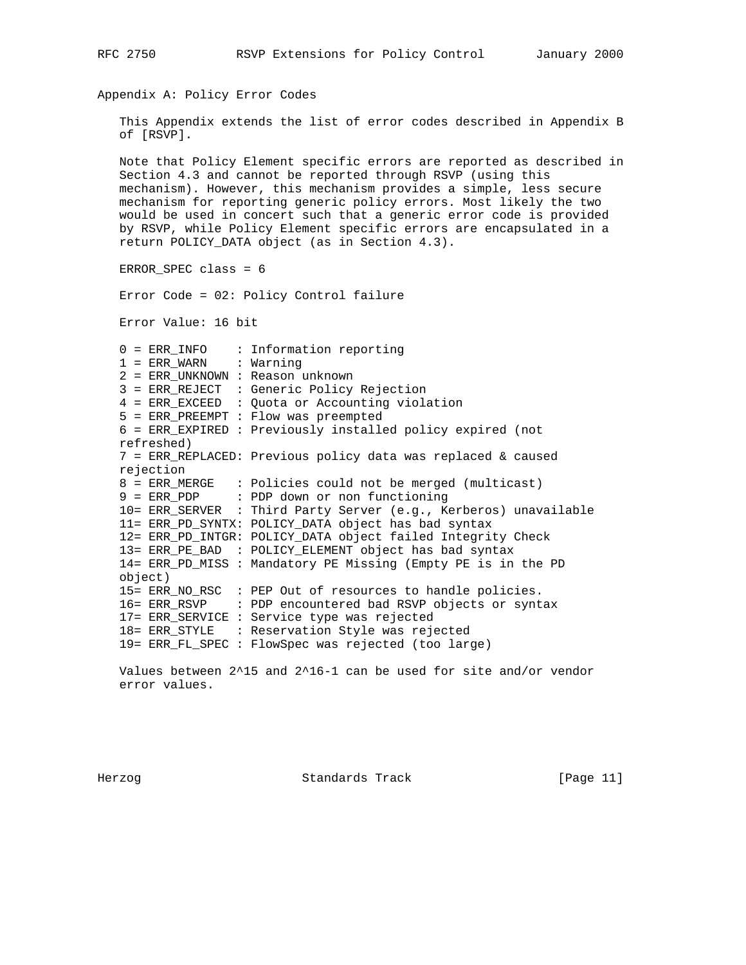```
Appendix A: Policy Error Codes
    This Appendix extends the list of error codes described in Appendix B
   of [RSVP].
   Note that Policy Element specific errors are reported as described in
   Section 4.3 and cannot be reported through RSVP (using this
   mechanism). However, this mechanism provides a simple, less secure
   mechanism for reporting generic policy errors. Most likely the two
   would be used in concert such that a generic error code is provided
   by RSVP, while Policy Element specific errors are encapsulated in a
   return POLICY_DATA object (as in Section 4.3).
   ERROR_SPEC class = 6
   Error Code = 02: Policy Control failure
   Error Value: 16 bit
    0 = ERR_INFO : Information reporting
   1 = ERR WARN : Warning
    2 = ERR_UNKNOWN : Reason unknown
    3 = ERR_REJECT : Generic Policy Rejection
    4 = ERR_EXCEED : Quota or Accounting violation
    5 = ERR_PREEMPT : Flow was preempted
    6 = ERR_EXPIRED : Previously installed policy expired (not
   refreshed)
    7 = ERR_REPLACED: Previous policy data was replaced & caused
   rejection
    8 = ERR_MERGE : Policies could not be merged (multicast)
    9 = ERR_PDP : PDP down or non functioning
    10= ERR_SERVER : Third Party Server (e.g., Kerberos) unavailable
    11= ERR_PD_SYNTX: POLICY_DATA object has bad syntax
    12= ERR_PD_INTGR: POLICY_DATA object failed Integrity Check
    13= ERR_PE_BAD : POLICY_ELEMENT object has bad syntax
    14= ERR_PD_MISS : Mandatory PE Missing (Empty PE is in the PD
   object)
    15= ERR_NO_RSC : PEP Out of resources to handle policies.
    16= ERR_RSVP : PDP encountered bad RSVP objects or syntax
    17= ERR_SERVICE : Service type was rejected
    18= ERR_STYLE : Reservation Style was rejected
    19= ERR_FL_SPEC : FlowSpec was rejected (too large)
```
RFC 2750 RSVP Extensions for Policy Control January 2000

 Values between 2^15 and 2^16-1 can be used for site and/or vendor error values.

Herzog Standards Track [Page 11]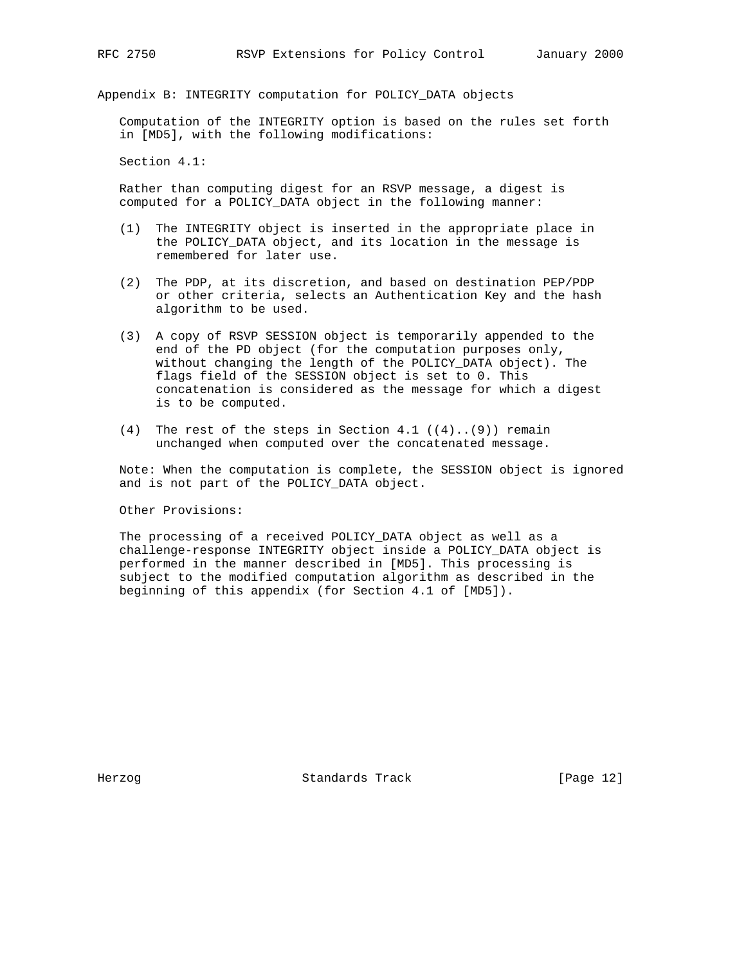Appendix B: INTEGRITY computation for POLICY\_DATA objects

 Computation of the INTEGRITY option is based on the rules set forth in [MD5], with the following modifications:

Section 4.1:

 Rather than computing digest for an RSVP message, a digest is computed for a POLICY\_DATA object in the following manner:

- (1) The INTEGRITY object is inserted in the appropriate place in the POLICY\_DATA object, and its location in the message is remembered for later use.
- (2) The PDP, at its discretion, and based on destination PEP/PDP or other criteria, selects an Authentication Key and the hash algorithm to be used.
- (3) A copy of RSVP SESSION object is temporarily appended to the end of the PD object (for the computation purposes only, without changing the length of the POLICY\_DATA object). The flags field of the SESSION object is set to 0. This concatenation is considered as the message for which a digest is to be computed.
- (4) The rest of the steps in Section 4.1  $((4) \ldots (9))$  remain unchanged when computed over the concatenated message.

 Note: When the computation is complete, the SESSION object is ignored and is not part of the POLICY\_DATA object.

Other Provisions:

 The processing of a received POLICY\_DATA object as well as a challenge-response INTEGRITY object inside a POLICY\_DATA object is performed in the manner described in [MD5]. This processing is subject to the modified computation algorithm as described in the beginning of this appendix (for Section 4.1 of [MD5]).

Herzog Standards Track [Page 12]